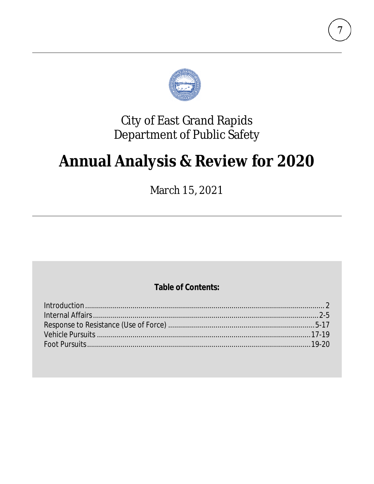

## **City of East Grand Rapids** Department of Public Safety

# **Annual Analysis & Review for 2020**

March 15, 2021

### **Table of Contents:**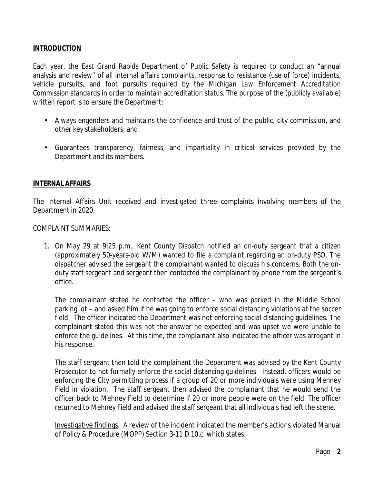#### **INTRODUCTION**

Each year, the East Grand Rapids Department of Public Safety is required to conduct an "annual analysis and review" of all internal affairs complaints, response to resistance (use of force) incidents, vehicle pursuits, and foot pursuits required by the *Michigan Law Enforcement Accreditation Commission* standards in order to maintain accreditation status. The purpose of the (publicly available) written report is to ensure the Department:

- Always engenders and maintains the confidence and trust of the public, city commission, and other key stakeholders; and
- Guarantees transparency, fairness, and impartiality in critical services provided by the Department and its members.

#### **INTERNAL AFFAIRS**

The Internal Affairs Unit received and investigated three complaints involving members of the Department in 2020.

COMPLAINT SUMMARIES:

1. On May 29 at 9:25 p.m., Kent County Dispatch notified an on-duty sergeant that a citizen (approximately 50-years-old W/M) wanted to file a complaint regarding an on-duty PSO. The dispatcher advised the sergeant the complainant wanted to discuss his concerns. Both the onduty staff sergeant and sergeant then contacted the complainant by phone from the sergeant's office.

The complainant stated he contacted the officer – who was parked in the Middle School parking lot – and asked him if he was going to enforce social distancing violations at the soccer field. The officer indicated the Department was not enforcing social distancing guidelines. The complainant stated this was not the answer he expected and was upset we were unable to enforce the guidelines. At this time, the complainant also indicated the officer was arrogant in his response.

The staff sergeant then told the complainant the Department was advised by the Kent County Prosecutor to not formally enforce the social distancing guidelines. Instead, officers would be enforcing the City permitting process if a group of 20 or more individuals were using Mehney Field in violation. The staff sergeant then advised the complainant that he would send the officer back to Mehney Field to determine if 20 or more people were on the field. The officer returned to Mehney Field and advised the staff sergeant that all individuals had left the scene.

Investigative findings. A review of the incident indicated the member's actions violated Manual of Policy & Procedure (MOPP) Section 3-11 D.10.c. which states: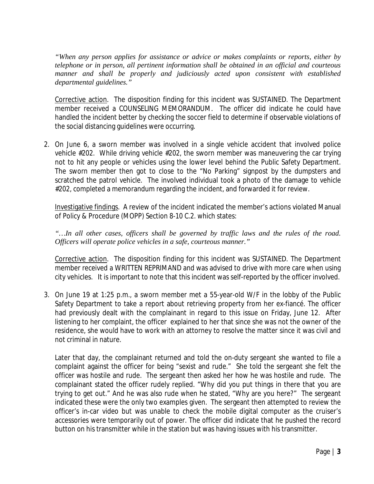*"When any person applies for assistance or advice or makes complaints or reports, either by telephone or in person, all pertinent information shall be obtained in an official and courteous*  manner and shall be properly and judiciously acted upon consistent with established *departmental guidelines."*

Corrective action. The disposition finding for this incident was SUSTAINED. The Department member received a COUNSELING MEMORANDUM. The officer did indicate he could have handled the incident better by checking the soccer field to determine if observable violations of the social distancing guidelines were occurring.

2. On June 6, a sworn member was involved in a single vehicle accident that involved police vehicle #202. While driving vehicle #202, the sworn member was maneuvering the car trying not to hit any people or vehicles using the lower level behind the Public Safety Department. The sworn member then got to close to the "No Parking" signpost by the dumpsters and scratched the patrol vehicle. The involved individual took a photo of the damage to vehicle #202, completed a memorandum regarding the incident, and forwarded it for review.

Investigative findings. A review of the incident indicated the member's actions violated Manual of Policy & Procedure (MOPP) Section 8-10 C.2. which states:

*"…In all other cases, officers shall be governed by traffic laws and the rules of the road. Officers will operate police vehicles in a safe, courteous manner."*

Corrective action. The disposition finding for this incident was SUSTAINED. The Department member received a WRITTEN REPRIMAND and was advised to drive with more care when using city vehicles. It is important to note that this incident was self-reported by the officer involved.

3. On June 19 at 1:25 p.m., a sworn member met a 55-year-old W/F in the lobby of the Public Safety Department to take a report about retrieving property from her ex-fiancé. The officer had previously dealt with the complainant in regard to this issue on Friday, June 12. After listening to her complaint, the officer explained to her that since she was not the owner of the residence, she would have to work with an attorney to resolve the matter since it was civil and not criminal in nature.

Later that day, the complainant returned and told the on-duty sergeant she wanted to file a complaint against the officer for being "sexist and rude." She told the sergeant she felt the officer was hostile and rude. The sergeant then asked her how he was hostile and rude. The complainant stated the officer rudely replied. "Why did you put things in there that you are trying to get out." And he was also rude when he stated, "Why are you here?" The sergeant indicated these were the only two examples given. The sergeant then attempted to review the officer's in-car video but was unable to check the mobile digital computer as the cruiser's accessories were temporarily out of power. The officer did indicate that he pushed the record button on his transmitter while in the station but was having issues with his transmitter.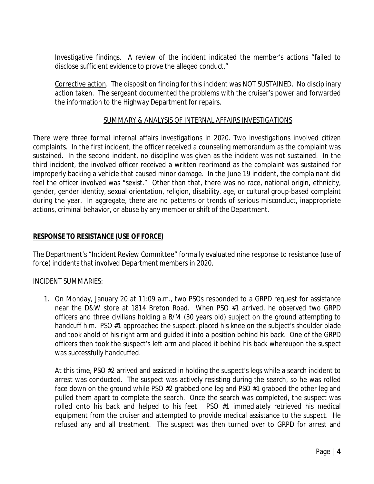Investigative findings. A review of the incident indicated the member's actions "failed to disclose sufficient evidence to prove the alleged conduct."

Corrective action. The disposition finding for this incident was NOT SUSTAINED. No disciplinary action taken. The sergeant documented the problems with the cruiser's power and forwarded the information to the Highway Department for repairs.

#### SUMMARY & ANALYSIS OF INTERNAL AFFAIRS INVESTIGATIONS

There were three formal internal affairs investigations in 2020. Two investigations involved citizen complaints. In the first incident, the officer received a counseling memorandum as the complaint was sustained. In the second incident, no discipline was given as the incident was not sustained. In the third incident, the involved officer received a written reprimand as the complaint was sustained for improperly backing a vehicle that caused minor damage. In the June 19 incident, the complainant did feel the officer involved was "sexist." Other than that, there was no race, national origin, ethnicity, gender, gender identity, sexual orientation, religion, disability, age, or cultural group-based complaint during the year. In aggregate, there are no patterns or trends of serious misconduct, inappropriate actions, criminal behavior, or abuse by any member or shift of the Department.

#### **RESPONSE TO RESISTANCE (USE OF FORCE)**

The Department's "Incident Review Committee" formally evaluated nine response to resistance (use of force) incidents that involved Department members in 2020.

#### INCIDENT SUMMARIES:

1. On Monday, January 20 at 11:09 a.m., two PSOs responded to a GRPD request for assistance near the D&W store at 1814 Breton Road. When PSO #1 arrived, he observed two GRPD officers and three civilians holding a B/M (30 years old) subject on the ground attempting to handcuff him. PSO #1 approached the suspect, placed his knee on the subject's shoulder blade and took ahold of his right arm and guided it into a position behind his back. One of the GRPD officers then took the suspect's left arm and placed it behind his back whereupon the suspect was successfully handcuffed.

At this time, PSO #2 arrived and assisted in holding the suspect's legs while a search incident to arrest was conducted. The suspect was actively resisting during the search, so he was rolled face down on the ground while PSO #2 grabbed one leg and PSO #1 grabbed the other leg and pulled them apart to complete the search. Once the search was completed, the suspect was rolled onto his back and helped to his feet. PSO #1 immediately retrieved his medical equipment from the cruiser and attempted to provide medical assistance to the suspect. He refused any and all treatment. The suspect was then turned over to GRPD for arrest and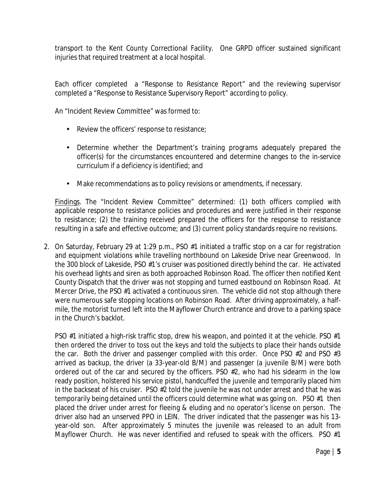transport to the Kent County Correctional Facility. One GRPD officer sustained significant injuries that required treatment at a local hospital.

Each officer completed a "Response to Resistance Report" and the reviewing supervisor completed a "Response to Resistance Supervisory Report" according to policy.

An "Incident Review Committee" was formed to:

- Review the officers' response to resistance;  $\mathbf{r}$
- Determine whether the Department's training programs adequately prepared the officer(s) for the circumstances encountered and determine changes to the in-service curriculum if a deficiency is identified; and
- Make recommendations as to policy revisions or amendments, if necessary.  $\mathbf{r}$

Findings. The "Incident Review Committee" determined: (1) both officers complied with applicable response to resistance policies and procedures and were justified in their response to resistance; (2) the training received prepared the officers for the response to resistance resulting in a safe and effective outcome; and (3) current policy standards require no revisions.

2. On Saturday, February 29 at 1:29 p.m., PSO #1 initiated a traffic stop on a car for registration and equipment violations while travelling northbound on Lakeside Drive near Greenwood. In the 300 block of Lakeside, PSO #1's cruiser was positioned directly behind the car. He activated his overhead lights and siren as both approached Robinson Road. The officer then notified Kent County Dispatch that the driver was not stopping and turned eastbound on Robinson Road. At Mercer Drive, the PSO #1 activated a continuous siren. The vehicle did not stop although there were numerous safe stopping locations on Robinson Road. After driving approximately, a halfmile, the motorist turned left into the Mayflower Church entrance and drove to a parking space in the Church's backlot.

PSO #1 initiated a high-risk traffic stop, drew his weapon, and pointed it at the vehicle. PSO #1 then ordered the driver to toss out the keys and told the subjects to place their hands outside the car. Both the driver and passenger complied with this order. Once PSO #2 and PSO #3 arrived as backup, the driver (a 33-year-old B/M) and passenger (a juvenile B/M) were both ordered out of the car and secured by the officers. PSO #2, who had his sidearm in the low ready position, holstered his service pistol, handcuffed the juvenile and temporarily placed him in the backseat of his cruiser. PSO #2 told the juvenile he was not under arrest and that he was temporarily being detained until the officers could determine what was going on. PSO #1 then placed the driver under arrest for fleeing & eluding and no operator's license on person. The driver also had an unserved PPO in LEIN. The driver indicated that the passenger was his 13 year-old son. After approximately 5 minutes the juvenile was released to an adult from Mayflower Church. He was never identified and refused to speak with the officers. PSO #1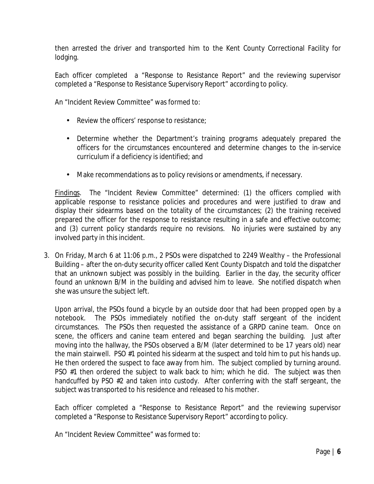then arrested the driver and transported him to the Kent County Correctional Facility for lodging.

Each officer completed a "Response to Resistance Report" and the reviewing supervisor completed a "Response to Resistance Supervisory Report" according to policy.

An "Incident Review Committee" was formed to:

- Review the officers' response to resistance;
- Determine whether the Department's training programs adequately prepared the officers for the circumstances encountered and determine changes to the in-service curriculum if a deficiency is identified; and
- Make recommendations as to policy revisions or amendments, if necessary.

Findings. The "Incident Review Committee" determined: (1) the officers complied with applicable response to resistance policies and procedures and were justified to draw and display their sidearms based on the totality of the circumstances; (2) the training received prepared the officer for the response to resistance resulting in a safe and effective outcome; and (3) current policy standards require no revisions. No injuries were sustained by any involved party in this incident.

3. On Friday, March 6 at 11:06 p.m., 2 PSOs were dispatched to 2249 Wealthy – the Professional Building – after the on-duty security officer called Kent County Dispatch and told the dispatcher that an unknown subject was possibly in the building. Earlier in the day, the security officer found an unknown B/M in the building and advised him to leave. She notified dispatch when she was unsure the subject left.

Upon arrival, the PSOs found a bicycle by an outside door that had been propped open by a notebook. The PSOs immediately notified the on-duty staff sergeant of the incident circumstances. The PSOs then requested the assistance of a GRPD canine team. Once on scene, the officers and canine team entered and began searching the building. Just after moving into the hallway, the PSOs observed a B/M (later determined to be 17 years old) near the main stairwell. PSO #1 pointed his sidearm at the suspect and told him to put his hands up. He then ordered the suspect to face away from him. The subject complied by turning around. PSO #1 then ordered the subject to walk back to him; which he did. The subject was then handcuffed by PSO #2 and taken into custody. After conferring with the staff sergeant, the subject was transported to his residence and released to his mother.

Each officer completed a "Response to Resistance Report" and the reviewing supervisor completed a "Response to Resistance Supervisory Report" according to policy.

An "Incident Review Committee" was formed to: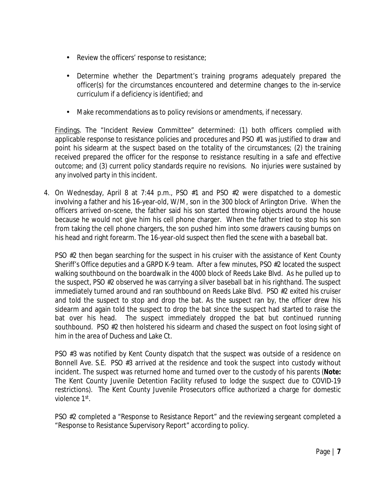- Review the officers' response to resistance;  $\epsilon$
- Determine whether the Department's training programs adequately prepared the  $\mathbf{r}$ officer(s) for the circumstances encountered and determine changes to the in-service curriculum if a deficiency is identified; and
- Make recommendations as to policy revisions or amendments, if necessary.  $\mathbf{r}^{\prime}$

Findings. The "Incident Review Committee" determined: (1) both officers complied with applicable response to resistance policies and procedures and PSO #1 was justified to draw and point his sidearm at the suspect based on the totality of the circumstances; (2) the training received prepared the officer for the response to resistance resulting in a safe and effective outcome; and (3) current policy standards require no revisions. No injuries were sustained by any involved party in this incident.

4. On Wednesday, April 8 at 7:44 p.m., PSO #1 and PSO #2 were dispatched to a domestic involving a father and his 16-year-old, W/M, son in the 300 block of Arlington Drive. When the officers arrived on-scene, the father said his son started throwing objects around the house because he would not give him his cell phone charger. When the father tried to stop his son from taking the cell phone chargers, the son pushed him into some drawers causing bumps on his head and right forearm. The 16-year-old suspect then fled the scene with a baseball bat.

PSO #2 then began searching for the suspect in his cruiser with the assistance of Kent County Sheriff's Office deputies and a GRPD K-9 team. After a few minutes, PSO #2 located the suspect walking southbound on the boardwalk in the 4000 block of Reeds Lake Blvd. As he pulled up to the suspect, PSO #2 observed he was carrying a silver baseball bat in his righthand. The suspect immediately turned around and ran southbound on Reeds Lake Blvd. PSO #2 exited his cruiser and told the suspect to stop and drop the bat. As the suspect ran by, the officer drew his sidearm and again told the suspect to drop the bat since the suspect had started to raise the bat over his head. The suspect immediately dropped the bat but continued running southbound. PSO #2 then holstered his sidearm and chased the suspect on foot losing sight of him in the area of Duchess and Lake Ct.

PSO #3 was notified by Kent County dispatch that the suspect was outside of a residence on Bonnell Ave. S.E. PSO #3 arrived at the residence and took the suspect into custody without incident. The suspect was returned home and turned over to the custody of his parents (**Note:** The Kent County Juvenile Detention Facility refused to lodge the suspect due to COVID-19 restrictions). The Kent County Juvenile Prosecutors office authorized a charge for domestic violence 1<sup>st</sup>.

PSO #2 completed a "Response to Resistance Report" and the reviewing sergeant completed a "Response to Resistance Supervisory Report" according to policy.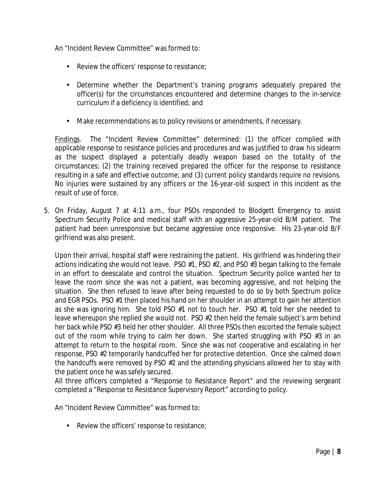An "Incident Review Committee" was formed to:

- $\mathcal{L}^{\text{max}}$ Review the officers' response to resistance;
- Determine whether the Department's training programs adequately prepared the officer(s) for the circumstances encountered and determine changes to the in-service curriculum if a deficiency is identified; and
- ä, Make recommendations as to policy revisions or amendments, if necessary.

Findings. The "Incident Review Committee" determined: (1) the officer complied with applicable response to resistance policies and procedures and was justified to draw his sidearm as the suspect displayed a potentially deadly weapon based on the totality of the circumstances; (2) the training received prepared the officer for the response to resistance resulting in a safe and effective outcome; and (3) current policy standards require no revisions. No injuries were sustained by any officers or the 16-year-old suspect in this incident as the result of use of force.

5. On Friday, August 7 at 4:11 a.m., four PSOs responded to Blodgett Emergency to assist Spectrum Security Police and medical staff with an aggressive 25-year-old B/M patient. The patient had been unresponsive but became aggressive once responsive. His 23-year-old B/F girlfriend was also present.

Upon their arrival, hospital staff were restraining the patient. His girlfriend was hindering their actions indicating she would not leave. PSO #1, PSO #2, and PSO #3 began talking to the female in an effort to deescalate and control the situation. Spectrum Security police wanted her to leave the room since she was not a patient, was becoming aggressive, and not helping the situation. She then refused to leave after being requested to do so by both Spectrum police and EGR PSOs. PSO #1 then placed his hand on her shoulder in an attempt to gain her attention as she was ignoring him. She told PSO #1 not to touch her. PSO #1 told her she needed to leave whereupon she replied she would not. PSO #2 then held the female subject's arm behind her back while PSO #3 held her other shoulder. All three PSOs then escorted the female subject out of the room while trying to calm her down. She started struggling with PSO #3 in an attempt to return to the hospital room. Since she was not cooperative and escalating in her response, PSO #2 temporarily handcuffed her for protective detention. Once she calmed down the handcuffs were removed by PSO #2 and the attending physicians allowed her to stay with the patient once he was safely secured.

All three officers completed a "Response to Resistance Report" and the reviewing sergeant completed a "Response to Resistance Supervisory Report" according to policy.

An "Incident Review Committee" was formed to:

 $\mathbf{r}$ Review the officers' response to resistance;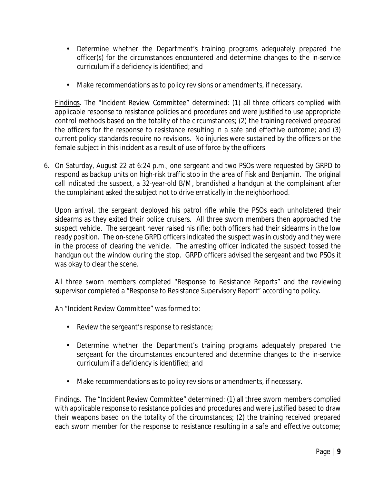- Determine whether the Department's training programs adequately prepared the  $\mathcal{L}^{\pm}$ officer(s) for the circumstances encountered and determine changes to the in-service curriculum if a deficiency is identified; and
- Make recommendations as to policy revisions or amendments, if necessary.  $\mathbf{r}$

Findings. The "Incident Review Committee" determined: (1) all three officers complied with applicable response to resistance policies and procedures and were justified to use appropriate control methods based on the totality of the circumstances; (2) the training received prepared the officers for the response to resistance resulting in a safe and effective outcome; and (3) current policy standards require no revisions. No injuries were sustained by the officers or the female subject in this incident as a result of use of force by the officers.

6. On Saturday, August 22 at 6:24 p.m., one sergeant and two PSOs were requested by GRPD to respond as backup units on high-risk traffic stop in the area of Fisk and Benjamin. The original call indicated the suspect, a 32-year-old B/M, brandished a handgun at the complainant after the complainant asked the subject not to drive erratically in the neighborhood.

Upon arrival, the sergeant deployed his patrol rifle while the PSOs each unholstered their sidearms as they exited their police cruisers. All three sworn members then approached the suspect vehicle. The sergeant never raised his rifle; both officers had their sidearms in the low ready position. The on-scene GRPD officers indicated the suspect was in custody and they were in the process of clearing the vehicle. The arresting officer indicated the suspect tossed the handgun out the window during the stop. GRPD officers advised the sergeant and two PSOs it was okay to clear the scene.

All three sworn members completed "Response to Resistance Reports" and the reviewing supervisor completed a "Response to Resistance Supervisory Report" according to policy.

An "Incident Review Committee" was formed to:

- Review the sergeant's response to resistance;
- Determine whether the Department's training programs adequately prepared the sergeant for the circumstances encountered and determine changes to the in-service curriculum if a deficiency is identified; and
- Make recommendations as to policy revisions or amendments, if necessary.

Findings. The "Incident Review Committee" determined: (1) all three sworn members complied with applicable response to resistance policies and procedures and were justified based to draw their weapons based on the totality of the circumstances; (2) the training received prepared each sworn member for the response to resistance resulting in a safe and effective outcome;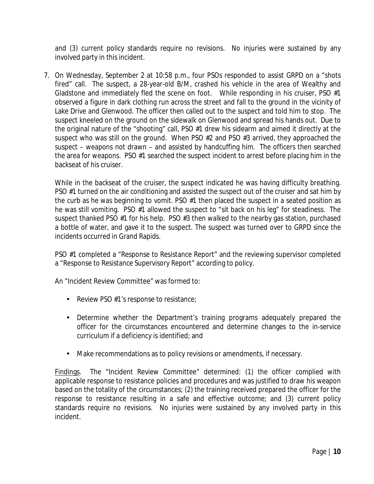and (3) current policy standards require no revisions. No injuries were sustained by any involved party in this incident.

7. On Wednesday, September 2 at 10:58 p.m., four PSOs responded to assist GRPD on a "shots fired" call. The suspect, a 28-year-old B/M, crashed his vehicle in the area of Wealthy and Gladstone and immediately fled the scene on foot. While responding in his cruiser, PSO #1 observed a figure in dark clothing run across the street and fall to the ground in the vicinity of Lake Drive and Glenwood. The officer then called out to the suspect and told him to stop. The suspect kneeled on the ground on the sidewalk on Glenwood and spread his hands out. Due to the original nature of the "shooting" call, PSO #1 drew his sidearm and aimed it directly at the suspect who was still on the ground. When PSO #2 and PSO #3 arrived, they approached the suspect – weapons not drawn – and assisted by handcuffing him. The officers then searched the area for weapons. PSO #1 searched the suspect incident to arrest before placing him in the backseat of his cruiser.

While in the backseat of the cruiser, the suspect indicated he was having difficulty breathing. PSO #1 turned on the air conditioning and assisted the suspect out of the cruiser and sat him by the curb as he was beginning to vomit. PSO #1 then placed the suspect in a seated position as he was still vomiting. PSO #1 allowed the suspect to "sit back on his leg" for steadiness. The suspect thanked PSO #1 for his help. PSO #3 then walked to the nearby gas station, purchased a bottle of water, and gave it to the suspect. The suspect was turned over to GRPD since the incidents occurred in Grand Rapids.

PSO #1 completed a "Response to Resistance Report" and the reviewing supervisor completed a "Response to Resistance Supervisory Report" according to policy.

An "Incident Review Committee" was formed to:

- Review PSO  $#1$ 's response to resistance;
- Determine whether the Department's training programs adequately prepared the officer for the circumstances encountered and determine changes to the in-service curriculum if a deficiency is identified; and
- Make recommendations as to policy revisions or amendments, if necessary.

Findings. The "Incident Review Committee" determined: (1) the officer complied with applicable response to resistance policies and procedures and was justified to draw his weapon based on the totality of the circumstances; (2) the training received prepared the officer for the response to resistance resulting in a safe and effective outcome; and (3) current policy standards require no revisions. No injuries were sustained by any involved party in this incident.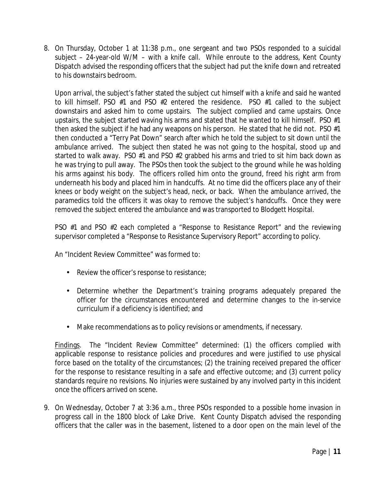8. On Thursday, October 1 at 11:38 p.m., one sergeant and two PSOs responded to a suicidal subject – 24-year-old W/M – with a knife call. While enroute to the address, Kent County Dispatch advised the responding officers that the subject had put the knife down and retreated to his downstairs bedroom.

Upon arrival, the subject's father stated the subject cut himself with a knife and said he wanted to kill himself. PSO #1 and PSO #2 entered the residence. PSO #1 called to the subject downstairs and asked him to come upstairs. The subject complied and came upstairs. Once upstairs, the subject started waving his arms and stated that he wanted to kill himself. PSO #1 then asked the subject if he had any weapons on his person. He stated that he did not. PSO #1 then conducted a "Terry Pat Down" search after which he told the subject to sit down until the ambulance arrived. The subject then stated he was not going to the hospital, stood up and started to walk away. PSO #1 and PSO #2 grabbed his arms and tried to sit him back down as he was trying to pull away. The PSOs then took the subject to the ground while he was holding his arms against his body. The officers rolled him onto the ground, freed his right arm from underneath his body and placed him in handcuffs. At no time did the officers place any of their knees or body weight on the subject's head, neck, or back. When the ambulance arrived, the paramedics told the officers it was okay to remove the subject's handcuffs. Once they were removed the subject entered the ambulance and was transported to Blodgett Hospital.

PSO #1 and PSO #2 each completed a "Response to Resistance Report" and the reviewing supervisor completed a "Response to Resistance Supervisory Report" according to policy.

An "Incident Review Committee" was formed to:

- Review the officer's response to resistance;
- Determine whether the Department's training programs adequately prepared the officer for the circumstances encountered and determine changes to the in-service curriculum if a deficiency is identified; and
- Make recommendations as to policy revisions or amendments, if necessary.  $\mathbf{r}$

Findings. The "Incident Review Committee" determined: (1) the officers complied with applicable response to resistance policies and procedures and were justified to use physical force based on the totality of the circumstances; (2) the training received prepared the officer for the response to resistance resulting in a safe and effective outcome; and (3) current policy standards require no revisions. No injuries were sustained by any involved party in this incident once the officers arrived on scene.

9. On Wednesday, October 7 at 3:36 a.m., three PSOs responded to a possible home invasion in progress call in the 1800 block of Lake Drive. Kent County Dispatch advised the responding officers that the caller was in the basement, listened to a door open on the main level of the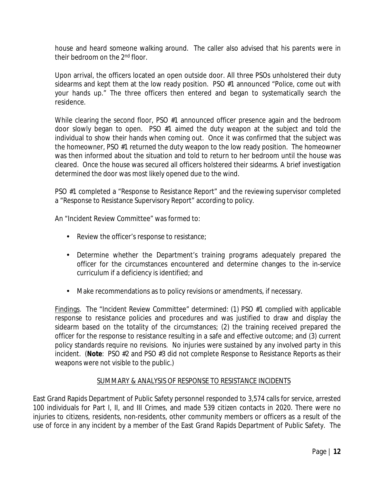house and heard someone walking around. The caller also advised that his parents were in their bedroom on the 2<sup>nd</sup> floor.

Upon arrival, the officers located an open outside door. All three PSOs unholstered their duty sidearms and kept them at the low ready position. PSO #1 announced "Police, come out with your hands up." The three officers then entered and began to systematically search the residence.

While clearing the second floor, PSO #1 announced officer presence again and the bedroom door slowly began to open. PSO #1 aimed the duty weapon at the subject and told the individual to show their hands when coming out. Once it was confirmed that the subject was the homeowner, PSO #1 returned the duty weapon to the low ready position. The homeowner was then informed about the situation and told to return to her bedroom until the house was cleared. Once the house was secured all officers holstered their sidearms. A brief investigation determined the door was most likely opened due to the wind.

PSO #1 completed a "Response to Resistance Report" and the reviewing supervisor completed a "Response to Resistance Supervisory Report" according to policy.

An "Incident Review Committee" was formed to:

- Review the officer's response to resistance;
- Determine whether the Department's training programs adequately prepared the officer for the circumstances encountered and determine changes to the in-service curriculum if a deficiency is identified; and
- Make recommendations as to policy revisions or amendments, if necessary.

Findings. The "Incident Review Committee" determined: (1) PSO #1 complied with applicable response to resistance policies and procedures and was justified to draw and display the sidearm based on the totality of the circumstances; (2) the training received prepared the officer for the response to resistance resulting in a safe and effective outcome; and (3) current policy standards require no revisions. No injuries were sustained by any involved party in this incident. (**Note**: PSO #2 and PSO #3 did not complete Response to Resistance Reports as their weapons were not visible to the public.)

#### SUMMARY & ANALYSIS OF RESPONSE TO RESISTANCE INCIDENTS

East Grand Rapids Department of Public Safety personnel responded to 3,574 calls for service, arrested 100 individuals for Part I, II, and III Crimes, and made 539 citizen contacts in 2020. There were no injuries to citizens, residents, non-residents, other community members or officers as a result of the use of force in any incident by a member of the East Grand Rapids Department of Public Safety. The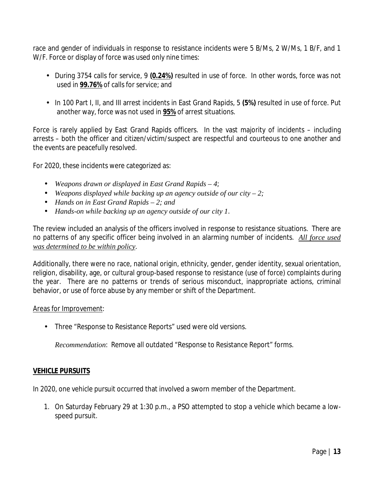race and gender of individuals in response to resistance incidents were 5 B/Ms, 2 W/Ms, 1 B/F, and 1 W/F. Force or display of force was used only nine times:

- During 3754 calls for service, 9 **(0.24%)** resulted in use of force. In other words, force was not used in **99.76%** of calls for service; and
- In 100 Part I, II, and III arrest incidents in East Grand Rapids, 5 **(5%)** resulted in use of force. Put another way, force was not used in **95%** of arrest situations.

Force is rarely applied by East Grand Rapids officers. In the vast majority of incidents – including arrests – both the officer and citizen/victim/suspect are respectful and courteous to one another and the events are peacefully resolved.

For 2020, these incidents were categorized as:

- *Weapons drawn or displayed in East Grand Rapids – 4*;
- *Weapons displayed while backing up an agency outside of our city – 2;*
- *Hands on in East Grand Rapids – 2; and*
- $\mathbf{r}$ *Hands-on while backing up an agency outside of our city 1*.

The review included an analysis of the officers involved in response to resistance situations. There are no patterns of any specific officer being involved in an alarming number of incidents. *All force used was determined to be within policy*.

Additionally, there were no race, national origin, ethnicity, gender, gender identity, sexual orientation, religion, disability, age, or cultural group-based response to resistance (use of force) complaints during the year. There are no patterns or trends of serious misconduct, inappropriate actions, criminal behavior, or use of force abuse by any member or shift of the Department.

#### Areas for Improvement:

Three "Response to Resistance Reports" used were old versions.

*Recommendation*: Remove all outdated "Response to Resistance Report" forms.

#### **VEHICLE PURSUITS**

In 2020, one vehicle pursuit occurred that involved a sworn member of the Department.

1. On Saturday February 29 at 1:30 p.m., a PSO attempted to stop a vehicle which became a lowspeed pursuit.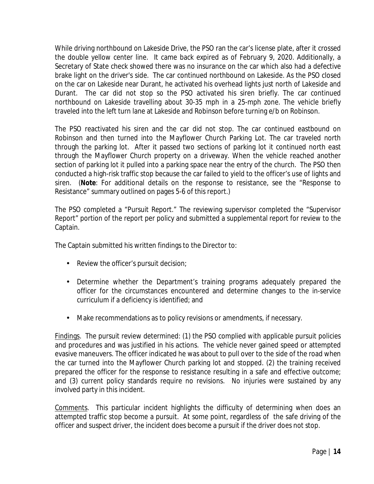While driving northbound on Lakeside Drive, the PSO ran the car's license plate, after it crossed the double yellow center line. It came back expired as of February 9, 2020. Additionally, a Secretary of State check showed there was no insurance on the car which also had a defective brake light on the driver's side. The car continued northbound on Lakeside. As the PSO closed on the car on Lakeside near Durant, he activated his overhead lights just north of Lakeside and Durant. The car did not stop so the PSO activated his siren briefly. The car continued northbound on Lakeside travelling about 30-35 mph in a 25-mph zone. The vehicle briefly traveled into the left turn lane at Lakeside and Robinson before turning e/b on Robinson.

The PSO reactivated his siren and the car did not stop. The car continued eastbound on Robinson and then turned into the Mayflower Church Parking Lot. The car traveled north through the parking lot. After it passed two sections of parking lot it continued north east through the Mayflower Church property on a driveway. When the vehicle reached another section of parking lot it pulled into a parking space near the entry of the church. The PSO then conducted a high-risk traffic stop because the car failed to yield to the officer's use of lights and siren. (**Note**: For additional details on the response to resistance, see the "Response to Resistance" summary outlined on pages 5-6 of this report.)

The PSO completed a "Pursuit Report." The reviewing supervisor completed the "Supervisor Report" portion of the report per policy and submitted a supplemental report for review to the Captain.

The Captain submitted his written findings to the Director to:

- Review the officer's pursuit decision;
- Determine whether the Department's training programs adequately prepared the officer for the circumstances encountered and determine changes to the in-service curriculum if a deficiency is identified; and
- Make recommendations as to policy revisions or amendments, if necessary.  $\mathbf{r}$

Findings. The pursuit review determined: (1) the PSO complied with applicable pursuit policies and procedures and was justified in his actions. The vehicle never gained speed or attempted evasive maneuvers. The officer indicated he was about to pull over to the side of the road when the car turned into the Mayflower Church parking lot and stopped. (2) the training received prepared the officer for the response to resistance resulting in a safe and effective outcome; and (3) current policy standards require no revisions. No injuries were sustained by any involved party in this incident.

Comments. This particular incident highlights the difficulty of determining when does an attempted traffic stop become a pursuit. At some point, regardless of the safe driving of the officer and suspect driver, the incident does become a pursuit if the driver does not stop.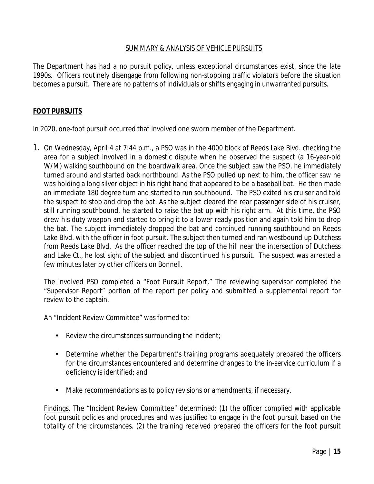#### SUMMARY & ANALYSIS OF VEHICLE PURSUITS

The Department has had a no pursuit policy, unless exceptional circumstances exist, since the late 1990s. Officers routinely disengage from following non-stopping traffic violators before the situation becomes a pursuit. There are no patterns of individuals or shifts engaging in unwarranted pursuits.

#### **FOOT PURSUITS**

In 2020, one-foot pursuit occurred that involved one sworn member of the Department.

1. On Wednesday, April 4 at 7:44 p.m., a PSO was in the 4000 block of Reeds Lake Blvd. checking the area for a subject involved in a domestic dispute when he observed the suspect (a 16-year-old W/M) walking southbound on the boardwalk area. Once the subject saw the PSO, he immediately turned around and started back northbound. As the PSO pulled up next to him, the officer saw he was holding a long silver object in his right hand that appeared to be a baseball bat. He then made an immediate 180 degree turn and started to run southbound. The PSO exited his cruiser and told the suspect to stop and drop the bat. As the subject cleared the rear passenger side of his cruiser, still running southbound, he started to raise the bat up with his right arm. At this time, the PSO drew his duty weapon and started to bring it to a lower ready position and again told him to drop the bat. The subject immediately dropped the bat and continued running southbound on Reeds Lake Blvd. with the officer in foot pursuit. The subject then turned and ran westbound up Dutchess from Reeds Lake Blvd. As the officer reached the top of the hill near the intersection of Dutchess and Lake Ct., he lost sight of the subject and discontinued his pursuit. The suspect was arrested a few minutes later by other officers on Bonnell.

The involved PSO completed a "Foot Pursuit Report." The reviewing supervisor completed the "Supervisor Report" portion of the report per policy and submitted a supplemental report for review to the captain.

An "Incident Review Committee" was formed to:

- Review the circumstances surrounding the incident;
- Determine whether the Department's training programs adequately prepared the officers a. for the circumstances encountered and determine changes to the in-service curriculum if a deficiency is identified; and
- Make recommendations as to policy revisions or amendments, if necessary.

Findings. The "Incident Review Committee" determined: (1) the officer complied with applicable foot pursuit policies and procedures and was justified to engage in the foot pursuit based on the totality of the circumstances. (2) the training received prepared the officers for the foot pursuit